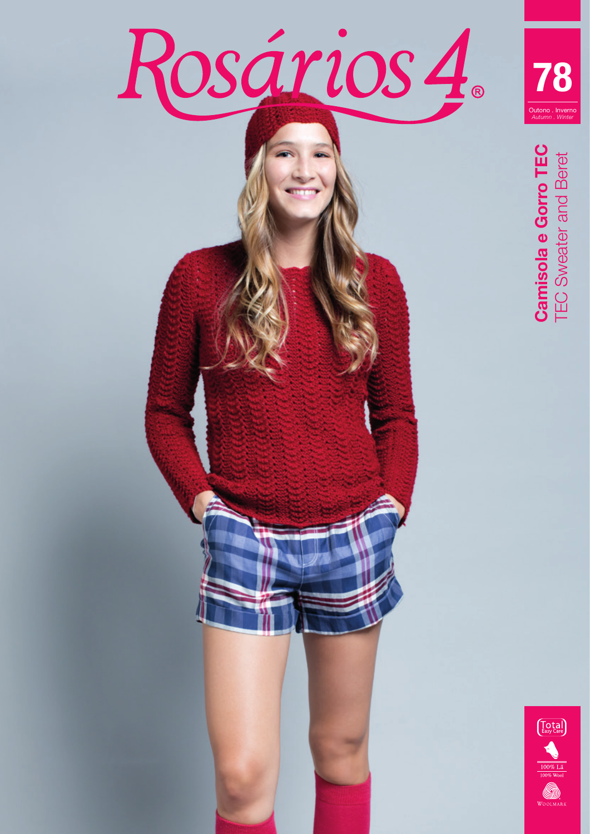



**Camisola e Gorro TEC**<br>TEC Sweater and Beret